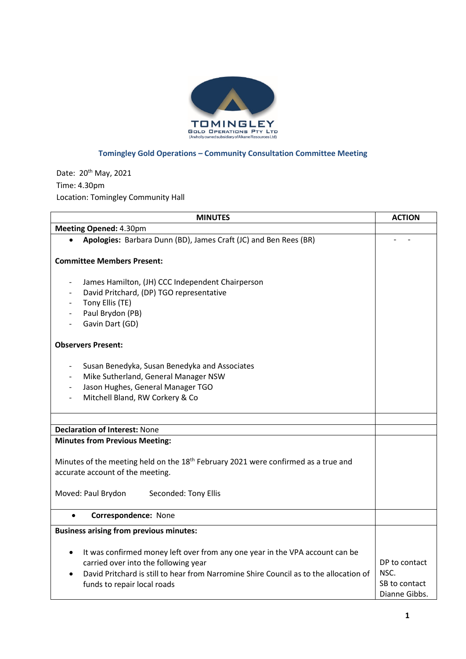

## **Tomingley Gold Operations – Community Consultation Committee Meeting**

Date: 20<sup>th</sup> May, 2021 Time: 4.30pm Location: Tomingley Community Hall

| <b>MINUTES</b>                                                                                 | <b>ACTION</b> |
|------------------------------------------------------------------------------------------------|---------------|
| Meeting Opened: 4.30pm                                                                         |               |
| Apologies: Barbara Dunn (BD), James Craft (JC) and Ben Rees (BR)                               |               |
|                                                                                                |               |
| <b>Committee Members Present:</b>                                                              |               |
|                                                                                                |               |
| James Hamilton, (JH) CCC Independent Chairperson<br>$\overline{\phantom{a}}$                   |               |
| David Pritchard, (DP) TGO representative<br>$\overline{\phantom{a}}$                           |               |
| Tony Ellis (TE)                                                                                |               |
| Paul Brydon (PB)                                                                               |               |
| Gavin Dart (GD)                                                                                |               |
| <b>Observers Present:</b>                                                                      |               |
| Susan Benedyka, Susan Benedyka and Associates                                                  |               |
| Mike Sutherland, General Manager NSW                                                           |               |
| Jason Hughes, General Manager TGO<br>$\overline{\phantom{a}}$                                  |               |
| Mitchell Bland, RW Corkery & Co                                                                |               |
|                                                                                                |               |
|                                                                                                |               |
| <b>Declaration of Interest: None</b>                                                           |               |
| <b>Minutes from Previous Meeting:</b>                                                          |               |
|                                                                                                |               |
| Minutes of the meeting held on the 18 <sup>th</sup> February 2021 were confirmed as a true and |               |
| accurate account of the meeting.                                                               |               |
| Moved: Paul Brydon<br>Seconded: Tony Ellis                                                     |               |
| Correspondence: None<br>$\bullet$                                                              |               |
|                                                                                                |               |
| <b>Business arising from previous minutes:</b>                                                 |               |
| It was confirmed money left over from any one year in the VPA account can be<br>$\bullet$      |               |
| carried over into the following year                                                           | DP to contact |
| David Pritchard is still to hear from Narromine Shire Council as to the allocation of          | NSC.          |
| funds to repair local roads                                                                    | SB to contact |
|                                                                                                | Dianne Gibbs. |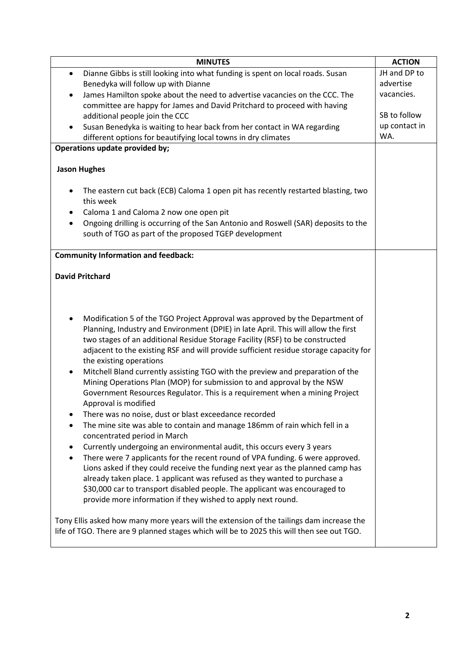| <b>MINUTES</b>                                                                                                                                                                                                                                                                                                                                                                                                                                                                          | <b>ACTION</b> |
|-----------------------------------------------------------------------------------------------------------------------------------------------------------------------------------------------------------------------------------------------------------------------------------------------------------------------------------------------------------------------------------------------------------------------------------------------------------------------------------------|---------------|
| Dianne Gibbs is still looking into what funding is spent on local roads. Susan<br>$\bullet$                                                                                                                                                                                                                                                                                                                                                                                             | JH and DP to  |
| Benedyka will follow up with Dianne                                                                                                                                                                                                                                                                                                                                                                                                                                                     | advertise     |
| James Hamilton spoke about the need to advertise vacancies on the CCC. The<br>$\bullet$                                                                                                                                                                                                                                                                                                                                                                                                 | vacancies.    |
| committee are happy for James and David Pritchard to proceed with having                                                                                                                                                                                                                                                                                                                                                                                                                |               |
| additional people join the CCC                                                                                                                                                                                                                                                                                                                                                                                                                                                          | SB to follow  |
| Susan Benedyka is waiting to hear back from her contact in WA regarding                                                                                                                                                                                                                                                                                                                                                                                                                 | up contact in |
| different options for beautifying local towns in dry climates                                                                                                                                                                                                                                                                                                                                                                                                                           | WA.           |
| Operations update provided by;                                                                                                                                                                                                                                                                                                                                                                                                                                                          |               |
| <b>Jason Hughes</b>                                                                                                                                                                                                                                                                                                                                                                                                                                                                     |               |
|                                                                                                                                                                                                                                                                                                                                                                                                                                                                                         |               |
| The eastern cut back (ECB) Caloma 1 open pit has recently restarted blasting, two<br>this week                                                                                                                                                                                                                                                                                                                                                                                          |               |
| Caloma 1 and Caloma 2 now one open pit<br>٠                                                                                                                                                                                                                                                                                                                                                                                                                                             |               |
| Ongoing drilling is occurring of the San Antonio and Roswell (SAR) deposits to the<br>$\bullet$<br>south of TGO as part of the proposed TGEP development                                                                                                                                                                                                                                                                                                                                |               |
| <b>Community Information and feedback:</b>                                                                                                                                                                                                                                                                                                                                                                                                                                              |               |
|                                                                                                                                                                                                                                                                                                                                                                                                                                                                                         |               |
| <b>David Pritchard</b>                                                                                                                                                                                                                                                                                                                                                                                                                                                                  |               |
|                                                                                                                                                                                                                                                                                                                                                                                                                                                                                         |               |
|                                                                                                                                                                                                                                                                                                                                                                                                                                                                                         |               |
| Modification 5 of the TGO Project Approval was approved by the Department of<br>Planning, Industry and Environment (DPIE) in late April. This will allow the first<br>two stages of an additional Residue Storage Facility (RSF) to be constructed<br>adjacent to the existing RSF and will provide sufficient residue storage capacity for<br>the existing operations<br>Mitchell Bland currently assisting TGO with the preview and preparation of the<br>٠                           |               |
| Mining Operations Plan (MOP) for submission to and approval by the NSW<br>Government Resources Regulator. This is a requirement when a mining Project<br>Approval is modified                                                                                                                                                                                                                                                                                                           |               |
| There was no noise, dust or blast exceedance recorded<br>٠<br>The mine site was able to contain and manage 186mm of rain which fell in a<br>$\bullet$<br>concentrated period in March                                                                                                                                                                                                                                                                                                   |               |
| Currently undergoing an environmental audit, this occurs every 3 years<br>٠<br>There were 7 applicants for the recent round of VPA funding. 6 were approved.<br>$\bullet$<br>Lions asked if they could receive the funding next year as the planned camp has<br>already taken place. 1 applicant was refused as they wanted to purchase a<br>\$30,000 car to transport disabled people. The applicant was encouraged to<br>provide more information if they wished to apply next round. |               |
| Tony Ellis asked how many more years will the extension of the tailings dam increase the<br>life of TGO. There are 9 planned stages which will be to 2025 this will then see out TGO.                                                                                                                                                                                                                                                                                                   |               |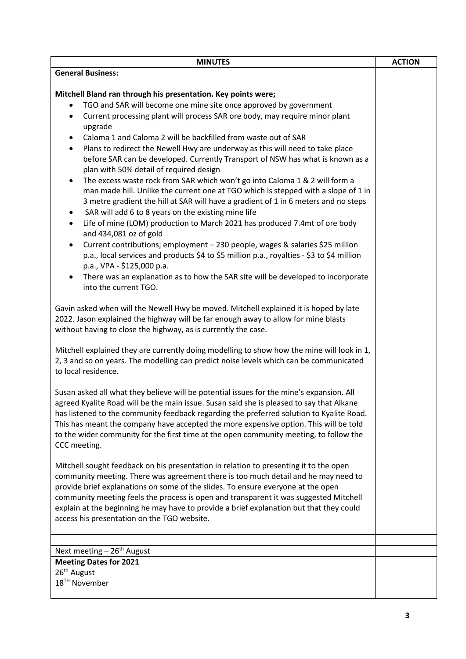| <b>MINUTES</b>                                                                                                                                                                                                                                                                                                                                                                                                                                                                                                                                                                                                                                                                                                                                                                                                                                                                                                                                                                                                             | <b>ACTION</b> |
|----------------------------------------------------------------------------------------------------------------------------------------------------------------------------------------------------------------------------------------------------------------------------------------------------------------------------------------------------------------------------------------------------------------------------------------------------------------------------------------------------------------------------------------------------------------------------------------------------------------------------------------------------------------------------------------------------------------------------------------------------------------------------------------------------------------------------------------------------------------------------------------------------------------------------------------------------------------------------------------------------------------------------|---------------|
| <b>General Business:</b>                                                                                                                                                                                                                                                                                                                                                                                                                                                                                                                                                                                                                                                                                                                                                                                                                                                                                                                                                                                                   |               |
| Mitchell Bland ran through his presentation. Key points were;<br>TGO and SAR will become one mine site once approved by government<br>$\bullet$<br>Current processing plant will process SAR ore body, may require minor plant<br>٠<br>upgrade<br>Caloma 1 and Caloma 2 will be backfilled from waste out of SAR<br>$\bullet$<br>Plans to redirect the Newell Hwy are underway as this will need to take place<br>$\bullet$<br>before SAR can be developed. Currently Transport of NSW has what is known as a<br>plan with 50% detail of required design<br>The excess waste rock from SAR which won't go into Caloma 1 & 2 will form a<br>$\bullet$<br>man made hill. Unlike the current one at TGO which is stepped with a slope of 1 in<br>3 metre gradient the hill at SAR will have a gradient of 1 in 6 meters and no steps<br>SAR will add 6 to 8 years on the existing mine life<br>$\bullet$<br>Life of mine (LOM) production to March 2021 has produced 7.4mt of ore body<br>$\bullet$<br>and 434,081 oz of gold |               |
| Current contributions; employment - 230 people, wages & salaries \$25 million<br>$\bullet$<br>p.a., local services and products \$4 to \$5 million p.a., royalties - \$3 to \$4 million<br>p.a., VPA - \$125,000 p.a.<br>There was an explanation as to how the SAR site will be developed to incorporate<br>٠<br>into the current TGO.                                                                                                                                                                                                                                                                                                                                                                                                                                                                                                                                                                                                                                                                                    |               |
| Gavin asked when will the Newell Hwy be moved. Mitchell explained it is hoped by late<br>2022. Jason explained the highway will be far enough away to allow for mine blasts<br>without having to close the highway, as is currently the case.<br>Mitchell explained they are currently doing modelling to show how the mine will look in 1,<br>2, 3 and so on years. The modelling can predict noise levels which can be communicated                                                                                                                                                                                                                                                                                                                                                                                                                                                                                                                                                                                      |               |
| to local residence.<br>Susan asked all what they believe will be potential issues for the mine's expansion. All<br>agreed Kyalite Road will be the main issue. Susan said she is pleased to say that Alkane<br>has listened to the community feedback regarding the preferred solution to Kyalite Road.<br>This has meant the company have accepted the more expensive option. This will be told<br>to the wider community for the first time at the open community meeting, to follow the<br>CCC meeting.                                                                                                                                                                                                                                                                                                                                                                                                                                                                                                                 |               |
| Mitchell sought feedback on his presentation in relation to presenting it to the open<br>community meeting. There was agreement there is too much detail and he may need to<br>provide brief explanations on some of the slides. To ensure everyone at the open<br>community meeting feels the process is open and transparent it was suggested Mitchell<br>explain at the beginning he may have to provide a brief explanation but that they could<br>access his presentation on the TGO website.                                                                                                                                                                                                                                                                                                                                                                                                                                                                                                                         |               |
|                                                                                                                                                                                                                                                                                                                                                                                                                                                                                                                                                                                                                                                                                                                                                                                                                                                                                                                                                                                                                            |               |
| Next meeting - 26 <sup>th</sup> August                                                                                                                                                                                                                                                                                                                                                                                                                                                                                                                                                                                                                                                                                                                                                                                                                                                                                                                                                                                     |               |
| <b>Meeting Dates for 2021</b><br>26 <sup>th</sup> August                                                                                                                                                                                                                                                                                                                                                                                                                                                                                                                                                                                                                                                                                                                                                                                                                                                                                                                                                                   |               |
| 18 <sup>TH</sup> November                                                                                                                                                                                                                                                                                                                                                                                                                                                                                                                                                                                                                                                                                                                                                                                                                                                                                                                                                                                                  |               |
|                                                                                                                                                                                                                                                                                                                                                                                                                                                                                                                                                                                                                                                                                                                                                                                                                                                                                                                                                                                                                            |               |